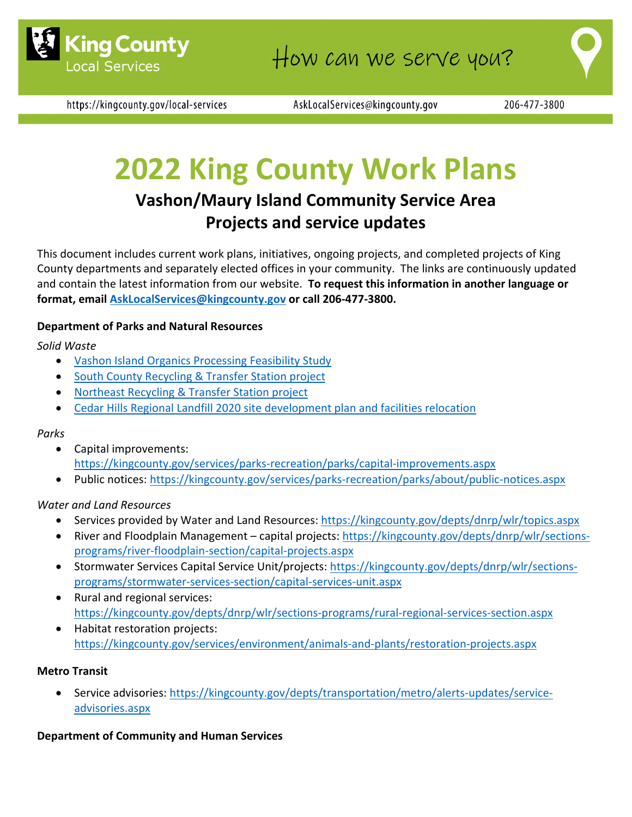

https://kingcounty.gov/local-services

AskLocalServices@kingcounty.gov

# **2022 King County Work Plans**

# **Vashon/Maury Island Community Service Area Projects and service updates**

This document includes current work plans, initiatives, ongoing projects, and completed projects of King County departments and separately elected offices in your community. The links are continuously updated and contain the latest information from our website. **To request this information in another language or format, email AskLocalServices@kingcounty.gov or call 206‐477‐3800.**

#### **Department of Parks and Natural Resources**

*Solid Waste*

- Vashon Island Organics Processing Feasibility Study
- South County Recycling & Transfer Station project
- Northeast Recycling & Transfer Station project
- Cedar Hills Regional Landfill 2020 site development plan and facilities relocation

#### *Parks*

- Capital improvements: https://kingcounty.gov/services/parks‐recreation/parks/capital‐improvements.aspx
- Public notices: https://kingcounty.gov/services/parks‐recreation/parks/about/public‐notices.aspx

#### *Water and Land Resources*

- Services provided by Water and Land Resources: https://kingcounty.gov/depts/dnrp/wlr/topics.aspx
- River and Floodplain Management capital projects: https://kingcounty.gov/depts/dnrp/wlr/sectionsprograms/river‐floodplain‐section/capital‐projects.aspx
- Stormwater Services Capital Service Unit/projects: https://kingcounty.gov/depts/dnrp/wlr/sectionsprograms/stormwater‐services‐section/capital‐services‐unit.aspx
- Rural and regional services: https://kingcounty.gov/depts/dnrp/wlr/sections‐programs/rural‐regional‐services‐section.aspx
- Habitat restoration projects: https://kingcounty.gov/services/environment/animals‐and‐plants/restoration‐projects.aspx

#### **Metro Transit**

● Service advisories: https://kingcounty.gov/depts/transportation/metro/alerts-updates/serviceadvisories.aspx

#### **Department of Community and Human Services**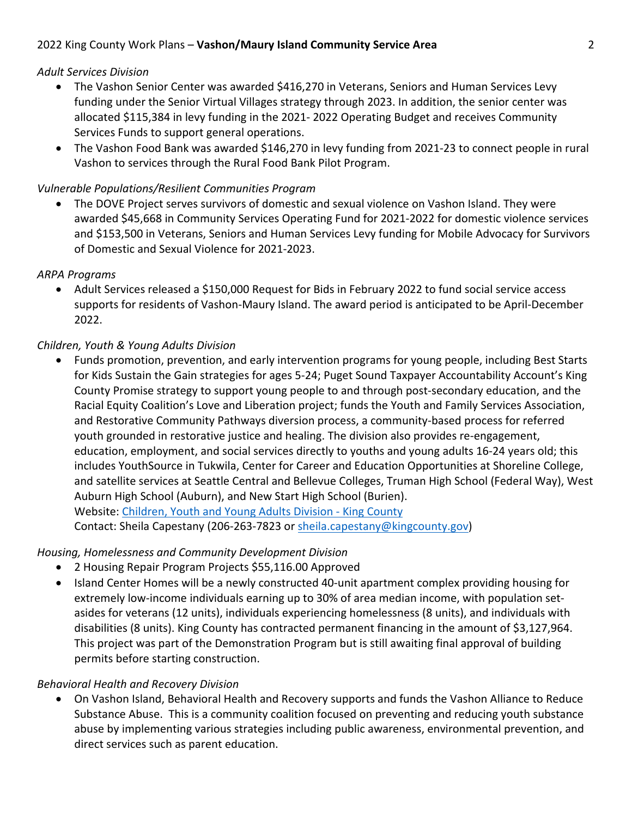# *Adult Services Division*

- The Vashon Senior Center was awarded \$416,270 in Veterans, Seniors and Human Services Levy funding under the Senior Virtual Villages strategy through 2023. In addition, the senior center was allocated \$115,384 in levy funding in the 2021‐ 2022 Operating Budget and receives Community Services Funds to support general operations.
- The Vashon Food Bank was awarded \$146,270 in levy funding from 2021‐23 to connect people in rural Vashon to services through the Rural Food Bank Pilot Program.

# *Vulnerable Populations/Resilient Communities Program*

 The DOVE Project serves survivors of domestic and sexual violence on Vashon Island. They were awarded \$45,668 in Community Services Operating Fund for 2021‐2022 for domestic violence services and \$153,500 in Veterans, Seniors and Human Services Levy funding for Mobile Advocacy for Survivors of Domestic and Sexual Violence for 2021‐2023.

## *ARPA Programs*

 Adult Services released a \$150,000 Request for Bids in February 2022 to fund social service access supports for residents of Vashon‐Maury Island. The award period is anticipated to be April‐December 2022.

## *Children, Youth & Young Adults Division*

 Funds promotion, prevention, and early intervention programs for young people, including Best Starts for Kids Sustain the Gain strategies for ages 5‐24; Puget Sound Taxpayer Accountability Account's King County Promise strategy to support young people to and through post‐secondary education, and the Racial Equity Coalition's Love and Liberation project; funds the Youth and Family Services Association, and Restorative Community Pathways diversion process, a community-based process for referred youth grounded in restorative justice and healing. The division also provides re‐engagement, education, employment, and social services directly to youths and young adults 16‐24 years old; this includes YouthSource in Tukwila, Center for Career and Education Opportunities at Shoreline College, and satellite services at Seattle Central and Bellevue Colleges, Truman High School (Federal Way), West Auburn High School (Auburn), and New Start High School (Burien). Website: Children, Youth and Young Adults Division ‐ King County Contact: Sheila Capestany (206‐263‐7823 or sheila.capestany@kingcounty.gov)

#### *Housing, Homelessness and Community Development Division*

- 2 Housing Repair Program Projects \$55,116.00 Approved
- Island Center Homes will be a newly constructed 40-unit apartment complex providing housing for extremely low-income individuals earning up to 30% of area median income, with population setasides for veterans (12 units), individuals experiencing homelessness (8 units), and individuals with disabilities (8 units). King County has contracted permanent financing in the amount of \$3,127,964. This project was part of the Demonstration Program but is still awaiting final approval of building permits before starting construction.

#### *Behavioral Health and Recovery Division*

 On Vashon Island, Behavioral Health and Recovery supports and funds the Vashon Alliance to Reduce Substance Abuse.  This is a community coalition focused on preventing and reducing youth substance abuse by implementing various strategies including public awareness, environmental prevention, and direct services such as parent education.